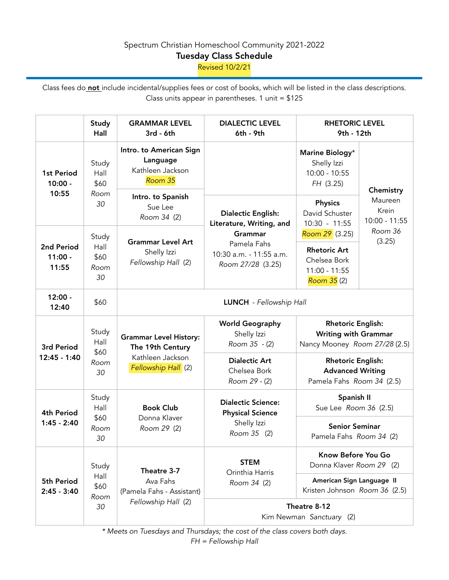## Spectrum Christian Homeschool Community 2021-2022

## Tuesday Class Schedule

Revised 10/2/21

Class fees do not include incidental/supplies fees or cost of books, which will be listed in the class descriptions. Class units appear in parentheses. 1 unit =  $$125$ 

|                                  | <b>Study</b><br>Hall                | <b>GRAMMAR LEVEL</b><br>$3rd - 6th$                                                          | <b>DIALECTIC LEVEL</b><br>6th - 9th                                                                                                    | <b>RHETORIC LEVEL</b><br>9th - 12th                                                      |                                                                       |  |
|----------------------------------|-------------------------------------|----------------------------------------------------------------------------------------------|----------------------------------------------------------------------------------------------------------------------------------------|------------------------------------------------------------------------------------------|-----------------------------------------------------------------------|--|
| 1st Period<br>$10:00 -$<br>10:55 | Study<br>Hall<br>\$60<br>Room<br>30 | Intro. to American Sign<br>Language<br>Kathleen Jackson<br>Room 35                           | <b>Dialectic English:</b><br>Literature, Writing, and<br><b>Grammar</b><br>Pamela Fahs<br>10:30 a.m. - 11:55 a.m.<br>Room 27/28 (3.25) | Marine Biology*<br>Shelly Izzi<br>$10:00 - 10:55$<br>FH (3.25)                           | Chemistry<br>Maureen<br>Krein<br>$10:00 - 11:55$<br>Room 36<br>(3.25) |  |
|                                  |                                     | Intro. to Spanish<br>Sue Lee<br>Room 34 (2)                                                  |                                                                                                                                        | <b>Physics</b><br>David Schuster<br>$10:30 - 11:55$                                      |                                                                       |  |
| 2nd Period<br>$11:00 -$<br>11:55 | Study<br>Hall<br>\$60<br>Room<br>30 | <b>Grammar Level Art</b><br>Shelly Izzi<br>Fellowship Hall (2)                               |                                                                                                                                        | Room 29 (3.25)<br><b>Rhetoric Art</b><br>Chelsea Bork<br>$11:00 - 11:55$<br>Room 35 (2)  |                                                                       |  |
| $12:00 -$<br>12:40               | \$60                                | LUNCH - Fellowship Hall                                                                      |                                                                                                                                        |                                                                                          |                                                                       |  |
| 3rd Period<br>12:45 - 1:40       | Study<br>Hall<br>\$60<br>Room<br>30 | <b>Grammar Level History:</b><br>The 19th Century<br>Kathleen Jackson<br>Fellowship Hall (2) | <b>World Geography</b><br>Shelly Izzi<br>Room 35 - (2)                                                                                 | <b>Rhetoric English:</b><br><b>Writing with Grammar</b><br>Nancy Mooney Room 27/28 (2.5) |                                                                       |  |
|                                  |                                     |                                                                                              | <b>Dialectic Art</b><br>Chelsea Bork<br>Room 29 - (2)                                                                                  | <b>Rhetoric English:</b><br><b>Advanced Writing</b><br>Pamela Fahs Room 34 (2.5)         |                                                                       |  |
| 4th Period<br>$1:45 - 2:40$      | Study<br>Hall<br>\$60<br>Room<br>30 | <b>Book Club</b><br>Donna Klaver<br>Room 29 (2)                                              | <b>Dialectic Science:</b><br><b>Physical Science</b><br>Shelly Izzi<br>Room 35 (2)                                                     | Spanish II<br>Sue Lee Room 36 (2.5)                                                      |                                                                       |  |
|                                  |                                     |                                                                                              |                                                                                                                                        | <b>Senior Seminar</b><br>Pamela Fahs Room 34 (2)                                         |                                                                       |  |
| 5th Period<br>$2:45 - 3:40$      | Study<br>Hall<br>\$60<br>Room<br>30 | Theatre 3-7<br>Ava Fahs<br>(Pamela Fahs - Assistant)<br>Fellowship Hall (2)                  | <b>STEM</b><br>Orinthia Harris<br>Room 34 (2)                                                                                          | Know Before You Go<br>Donna Klaver Room 29 (2)                                           |                                                                       |  |
|                                  |                                     |                                                                                              |                                                                                                                                        | American Sign Language II<br>Kristen Johnson Room 36 (2.5)                               |                                                                       |  |
|                                  |                                     |                                                                                              | Theatre 8-12<br>Kim Newman Sanctuary (2)                                                                                               |                                                                                          |                                                                       |  |

*\* Meets on Tuesdays and Thursdays; the cost of the class covers both days. FH = Fellowship Hall*